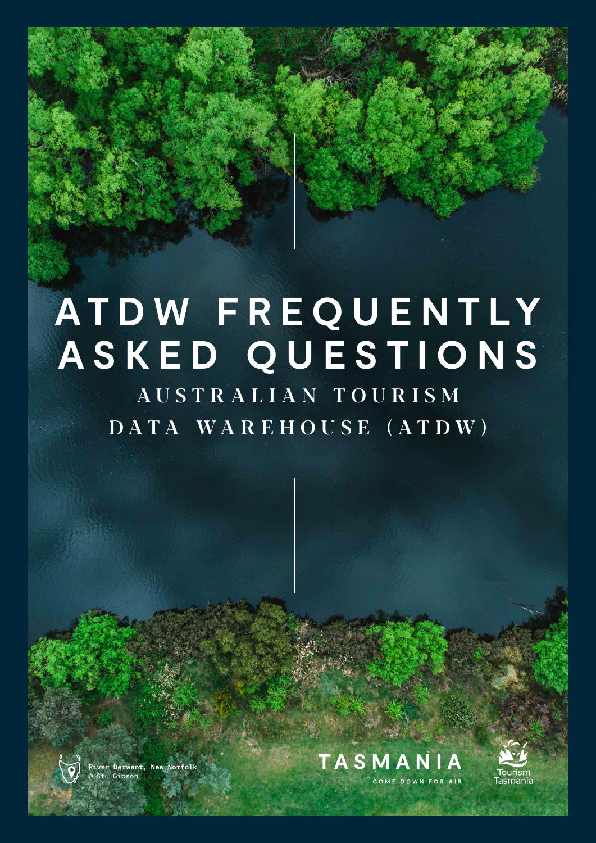# **AT D W F R E Q U E N T LY ASKED QUESTIONS**

## AUSTRALIAN TOURISM DATA WAREHOUSE (ATDW)



**River Derwent, New Norfolk** © Stu Gibson





**— 1**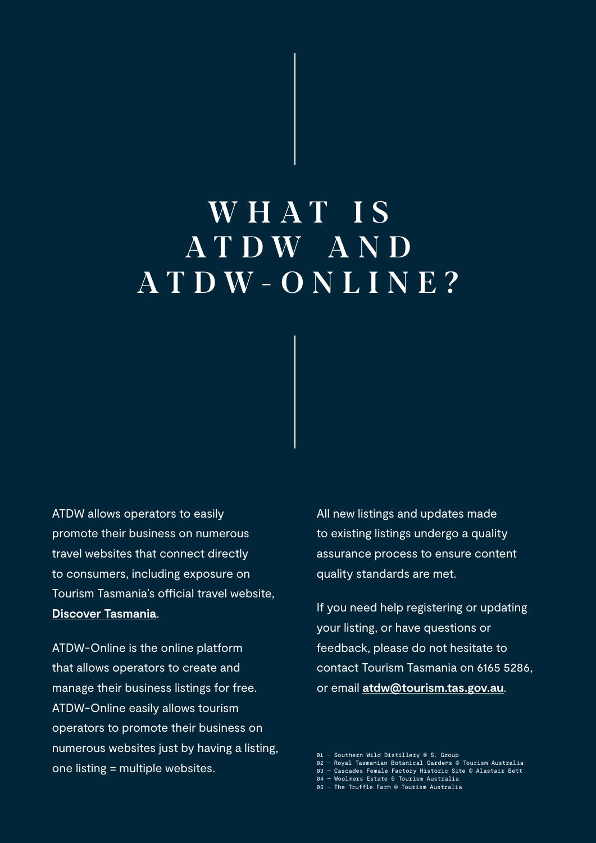## WHAT IS A T D W A N D ATDW-ONLINE?

**ATDW allows operators to easily** promote their business on numerous travel websites that connect directly to consumers, including exposure on Tourism Tasmania's official travel website, **[Discover Tasmania](https://www.discovertasmania.com.au)**.

ATDW-Online is the online platform that allows operators to create and manage their business listings for free. ATDW-Online easily allows tourism operators to promote their business on numerous websites just by having a listing, one listing = multiple websites.

All new listings and updates made to existing listings undergo a quality assurance process to ensure content quality standards are met.

If you need help registering or updating your listing, or have questions or feedback, please do not hesitate to contact Tourism Tasmania on 6165 5286, or email **[atdw@tourism.tas.gov.au](mailto:atdw@tourism.tas.gov.au)**.

- 01 Southern Wild Distillery © S. Group 02 Royal Tasmanian Botanical Gardens © Tourism Australia
- 03 Cascades Female Factory Historic Site © Alastair Bett
- 04 Woolmers Estate © Tourism Australia 05 The Truffle Farm © Tourism Australia
-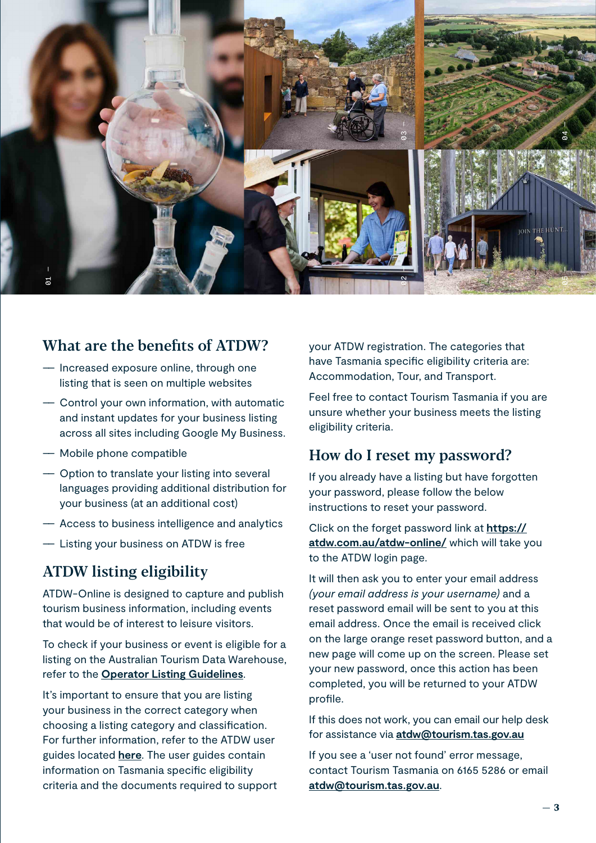

## What are the benefits of ATDW?

- –– Increased exposure online, through one listing that is seen on multiple websites
- –– Control your own information, with automatic and instant updates for your business listing across all sites including Google My Business.
- –– Mobile phone compatible
- –– Option to translate your listing into several languages providing additional distribution for your business (at an additional cost)
- –– Access to business intelligence and analytics
- –– Listing your business on ATDW is free

### ATDW listing eligibility

ATDW-Online is designed to capture and publish tourism business information, including events that would be of interest to leisure visitors.

To check if your business or event is eligible for a listing on the Australian Tourism Data Warehouse, refer to the **[Operator Listing Guidelines](https://www.tourismtasmania.com.au/__data/assets/pdf_file/0020/109019/ATDW-Operator-Listing-Guidelines_June-2019.pdf)**.

It's important to ensure that you are listing your business in the correct category when choosing a listing category and classification. For further information, refer to the ATDW user guides located **[here](https://www.tourismtasmania.com.au/marketing/atdw)**. The user guides contain information on Tasmania specific eligibility criteria and the documents required to support your ATDW registration. The categories that have Tasmania specific eligibility criteria are: Accommodation, Tour, and Transport.

Feel free to contact Tourism Tasmania if you are unsure whether your business meets the listing eligibility criteria.

#### How do I reset my password?

If you already have a listing but have forgotten your password, please follow the below instructions to reset your password.

Click on the forget password link at **[https://](https://atdw.com.au/atdw-online/) [atdw.com.au/atdw-online/](https://atdw.com.au/atdw-online/)** which will take you to the ATDW login page.

It will then ask you to enter your email address *(your email address is your username)* and a reset password email will be sent to you at this email address. Once the email is received click on the large orange reset password button, and a new page will come up on the screen. Please set your new password, once this action has been completed, you will be returned to your ATDW profile.

If this does not work, you can email our help desk for assistance via **[atdw@tourism.tas.gov.au](mailto:atdw@tourism.tas.gov.au)**

If you see a 'user not found' error message, contact Tourism Tasmania on 6165 5286 or email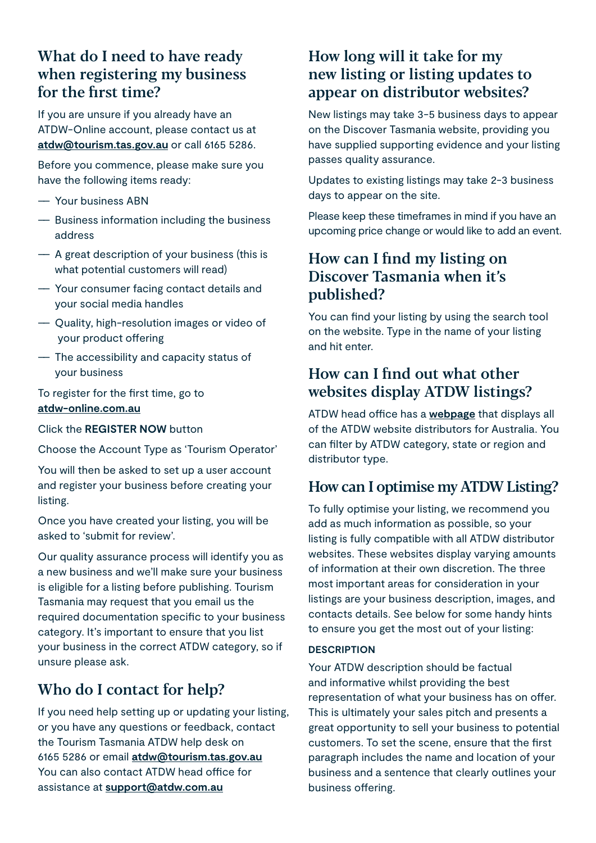## What do I need to have ready when registering my business for the first time?

If you are unsure if you already have an ATDW-Online account, please contact us at **[atdw@tourism.tas.gov.au](mailto:atdw@tourism.tas.gov.au)** or call 6165 5286.

Before you commence, please make sure you have the following items ready:

- –– Your business ABN
- –– Business information including the business address
- –– A great description of your business (this is what potential customers will read)
- –– Your consumer facing contact details and your social media handles
- –– Quality, high-resolution images or video of your product offering
- –– The accessibility and capacity status of your business

#### To register for the first time, go to **[atdw-online.com.au](http://atdw-online.com.au)**

Click the **REGISTER NOW** button

Choose the Account Type as 'Tourism Operator'

You will then be asked to set up a user account and register your business before creating your listing.

Once you have created your listing, you will be asked to 'submit for review'.

Our quality assurance process will identify you as a new business and we'll make sure your business is eligible for a listing before publishing. Tourism Tasmania may request that you email us the required documentation specific to your business category. It's important to ensure that you list your business in the correct ATDW category, so if unsure please ask.

## Who do I contact for help?

If you need help setting up or updating your listing, or you have any questions or feedback, contact the Tourism Tasmania ATDW help desk on 6165 5286 or email **[atdw@tourism.tas.gov.au](mailto:atdw@tourism.tas.gov.au)** You can also contact ATDW head office for assistance at **[support@atdw.com.au](mailto:support@atdw.com.au)**

## How long will it take for my new listing or listing updates to appear on distributor websites?

New listings may take 3-5 business days to appear on the Discover Tasmania website, providing you have supplied supporting evidence and your listing passes quality assurance.

Updates to existing listings may take 2-3 business days to appear on the site.

Please keep these timeframes in mind if you have an upcoming price change or would like to add an event.

## How can I find my listing on Discover Tasmania when it's published?

You can find your listing by using the search tool on the website. Type in the name of your listing and hit enter.

## How can I find out what other websites display ATDW listings?

ATDW head office has a **[webpage](https://atdw.com.au/distributors/current-distributors/)** that displays all of the ATDW website distributors for Australia. You can filter by ATDW category, state or region and distributor type.

## How can I optimise my ATDW Listing?

To fully optimise your listing, we recommend you add as much information as possible, so your listing is fully compatible with all ATDW distributor websites. These websites display varying amounts of information at their own discretion. The three most important areas for consideration in your listings are your business description, images, and contacts details. See below for some handy hints to ensure you get the most out of your listing:

#### **DESCRIPTION**

Your ATDW description should be factual and informative whilst providing the best representation of what your business has on offer. This is ultimately your sales pitch and presents a great opportunity to sell your business to potential customers. To set the scene, ensure that the first paragraph includes the name and location of your business and a sentence that clearly outlines your business offering.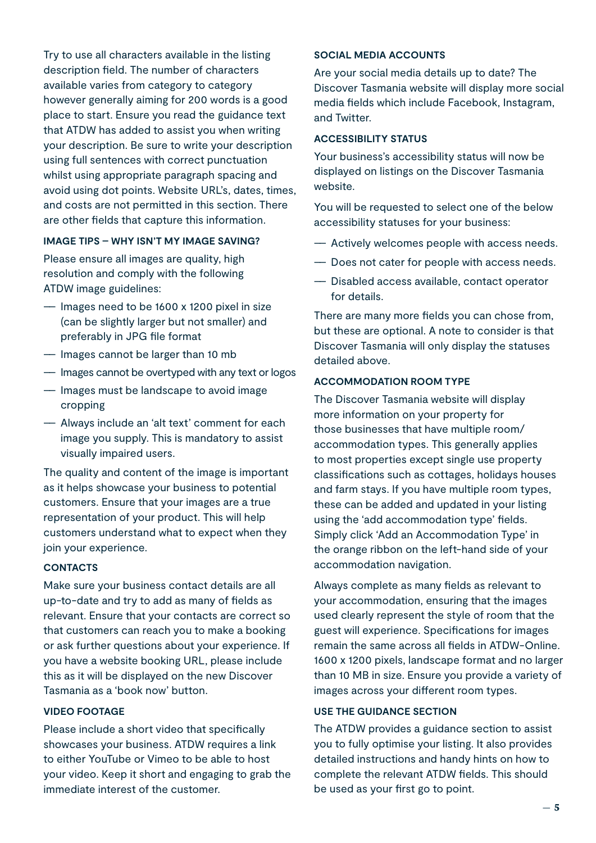Try to use all characters available in the listing description field. The number of characters available varies from category to category however generally aiming for 200 words is a good place to start. Ensure you read the guidance text that ATDW has added to assist you when writing your description. Be sure to write your description using full sentences with correct punctuation whilst using appropriate paragraph spacing and avoid using dot points. Website URL's, dates, times, and costs are not permitted in this section. There are other fields that capture this information.

#### **IMAGE TIPS – WHY ISN'T MY IMAGE SAVING?**

Please ensure all images are quality, high resolution and comply with the following ATDW image guidelines:

- –– Images need to be 1600 x 1200 pixel in size (can be slightly larger but not smaller) and preferably in JPG file format
- –– Images cannot be larger than 10 mb
- –– Images cannot be overtyped with any text or logos
- –– Images must be landscape to avoid image cropping
- –– Always include an 'alt text' comment for each image you supply. This is mandatory to assist visually impaired users.

The quality and content of the image is important as it helps showcase your business to potential customers. Ensure that your images are a true representation of your product. This will help customers understand what to expect when they join your experience.

#### **CONTACTS**

Make sure your business contact details are all up-to-date and try to add as many of fields as relevant. Ensure that your contacts are correct so that customers can reach you to make a booking or ask further questions about your experience. If you have a website booking URL, please include this as it will be displayed on the new Discover Tasmania as a 'book now' button.

#### **VIDEO FOOTAGE**

Please include a short video that specifically showcases your business. ATDW requires a link to either YouTube or Vimeo to be able to host your video. Keep it short and engaging to grab the immediate interest of the customer.

#### **SOCIAL MEDIA ACCOUNTS**

Are your social media details up to date? The Discover Tasmania website will display more social media fields which include Facebook, Instagram, and Twitter.

#### **ACCESSIBILITY STATUS**

Your business's accessibility status will now be displayed on listings on the Discover Tasmania website.

You will be requested to select one of the below accessibility statuses for your business:

- –– Actively welcomes people with access needs.
- –– Does not cater for people with access needs.
- –– Disabled access available, contact operator for details.

There are many more fields you can chose from, but these are optional. A note to consider is that Discover Tasmania will only display the statuses detailed above.

#### **ACCOMMODATION ROOM TYPE**

The Discover Tasmania website will display more information on your property for those businesses that have multiple room/ accommodation types. This generally applies to most properties except single use property classifications such as cottages, holidays houses and farm stays. If you have multiple room types, these can be added and updated in your listing using the 'add accommodation type' fields. Simply click 'Add an Accommodation Type' in the orange ribbon on the left-hand side of your accommodation navigation.

Always complete as many fields as relevant to your accommodation, ensuring that the images used clearly represent the style of room that the guest will experience. Specifications for images remain the same across all fields in ATDW-Online. 1600 x 1200 pixels, landscape format and no larger than 10 MB in size. Ensure you provide a variety of images across your different room types.

#### **USE THE GUIDANCE SECTION**

The ATDW provides a guidance section to assist you to fully optimise your listing. It also provides detailed instructions and handy hints on how to complete the relevant ATDW fields. This should be used as your first go to point.